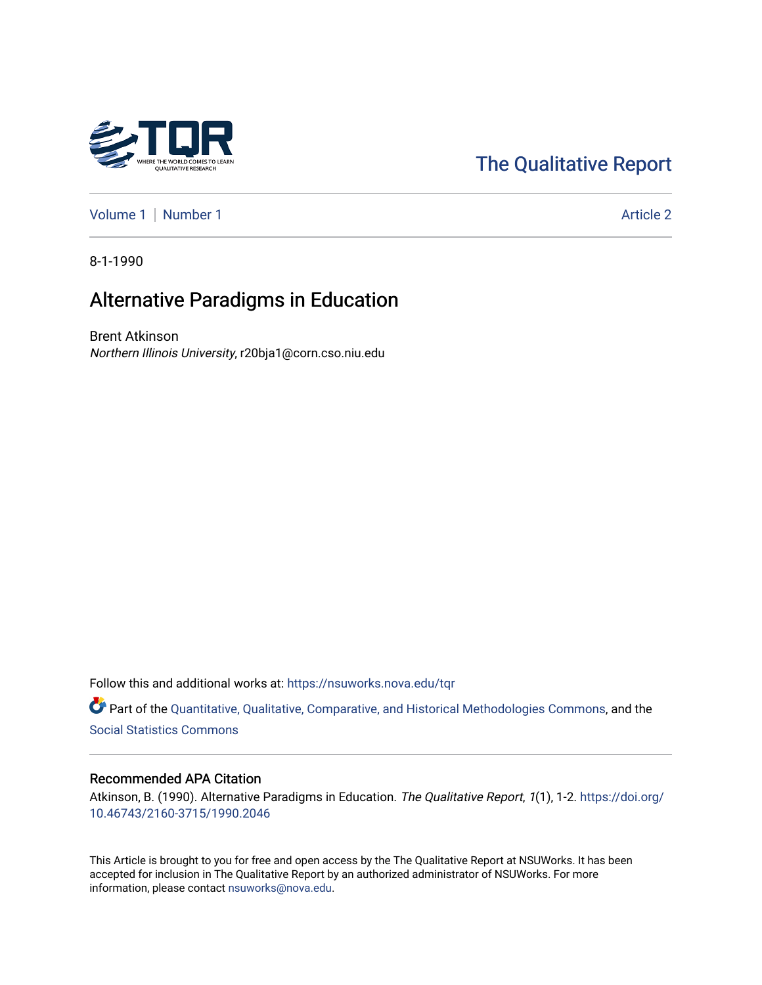# [The Qualitative Report](https://nsuworks.nova.edu/tqr)

[Volume 1](https://nsuworks.nova.edu/tqr/vol1) | [Number 1](https://nsuworks.nova.edu/tqr/vol1/iss1) Article 2

8-1-1990

# Alternative Paradigms in Education

Brent Atkinson Northern Illinois University, r20bja1@corn.cso.niu.edu

Follow this and additional works at: [https://nsuworks.nova.edu/tqr](https://nsuworks.nova.edu/tqr?utm_source=nsuworks.nova.edu%2Ftqr%2Fvol1%2Fiss1%2F2&utm_medium=PDF&utm_campaign=PDFCoverPages) 

Part of the [Quantitative, Qualitative, Comparative, and Historical Methodologies Commons,](http://network.bepress.com/hgg/discipline/423?utm_source=nsuworks.nova.edu%2Ftqr%2Fvol1%2Fiss1%2F2&utm_medium=PDF&utm_campaign=PDFCoverPages) and the [Social Statistics Commons](http://network.bepress.com/hgg/discipline/1275?utm_source=nsuworks.nova.edu%2Ftqr%2Fvol1%2Fiss1%2F2&utm_medium=PDF&utm_campaign=PDFCoverPages) 

### Recommended APA Citation

Atkinson, B. (1990). Alternative Paradigms in Education. The Qualitative Report, 1(1), 1-2. [https://doi.org/](https://doi.org/10.46743/2160-3715/1990.2046) [10.46743/2160-3715/1990.2046](https://doi.org/10.46743/2160-3715/1990.2046)

This Article is brought to you for free and open access by the The Qualitative Report at NSUWorks. It has been accepted for inclusion in The Qualitative Report by an authorized administrator of NSUWorks. For more information, please contact [nsuworks@nova.edu.](mailto:nsuworks@nova.edu)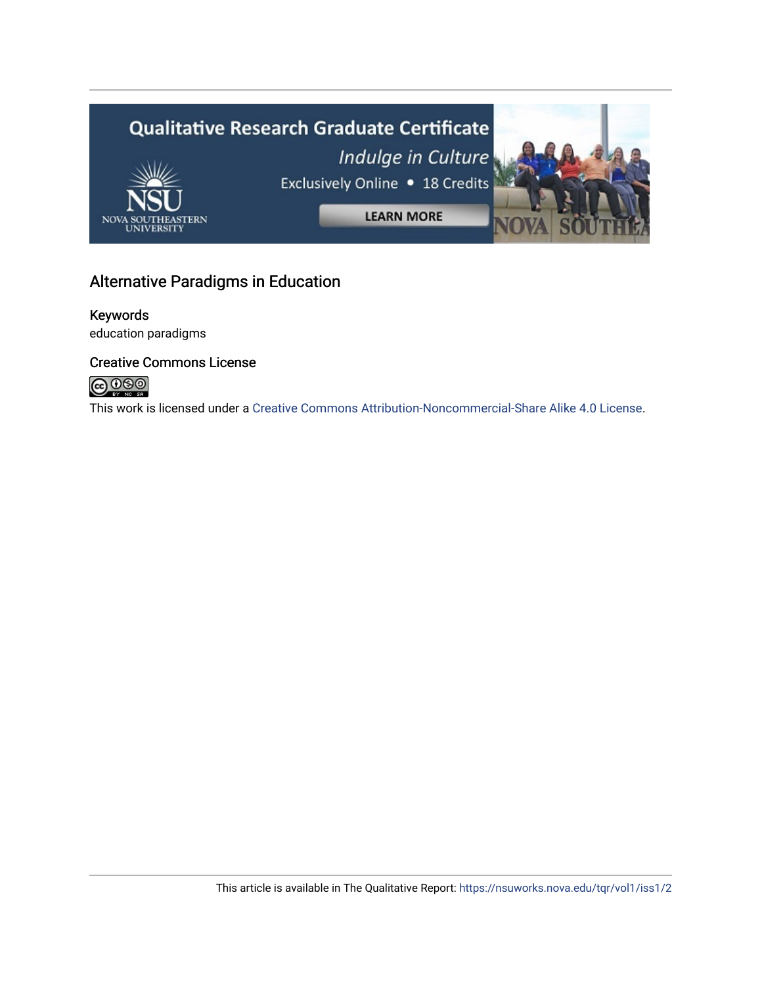

# Alternative Paradigms in Education

# Keywords

education paradigms

## Creative Commons License



This work is licensed under a [Creative Commons Attribution-Noncommercial-Share Alike 4.0 License](https://creativecommons.org/licenses/by-nc-sa/4.0/).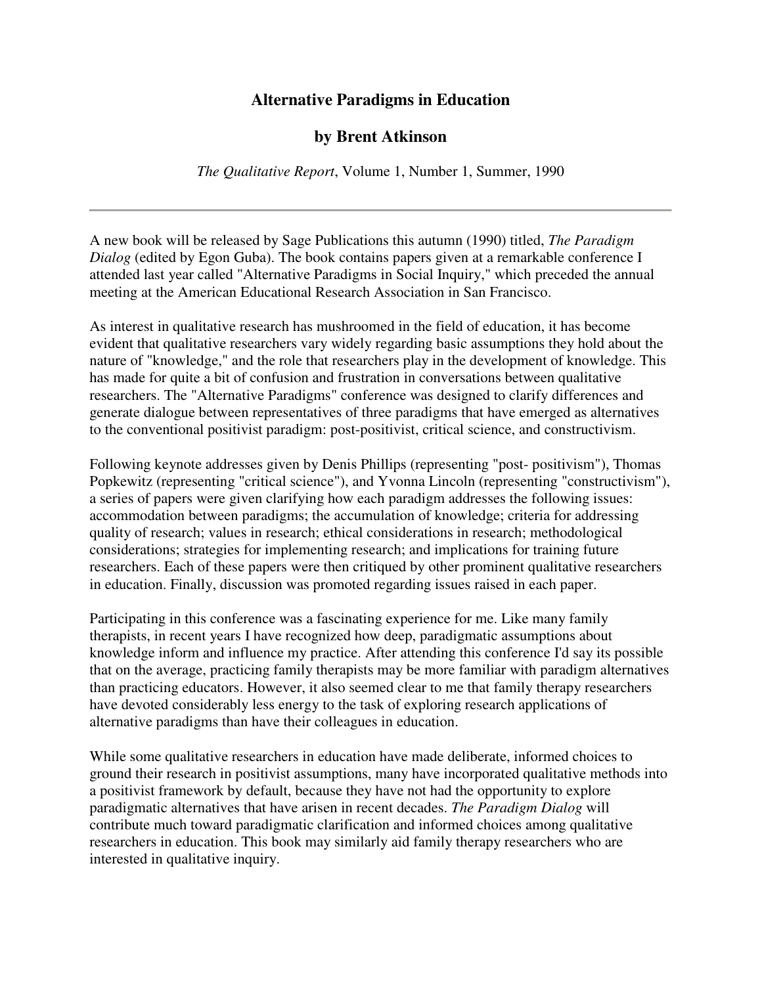## **Alternative Paradigms in Education**

## **by Brent Atkinson**

*The Qualitative Report*, Volume 1, Number 1, Summer, 1990

A new book will be released by Sage Publications this autumn (1990) titled, *The Paradigm Dialog* (edited by Egon Guba). The book contains papers given at a remarkable conference I attended last year called "Alternative Paradigms in Social Inquiry," which preceded the annual meeting at the American Educational Research Association in San Francisco.

As interest in qualitative research has mushroomed in the field of education, it has become evident that qualitative researchers vary widely regarding basic assumptions they hold about the nature of "knowledge," and the role that researchers play in the development of knowledge. This has made for quite a bit of confusion and frustration in conversations between qualitative researchers. The "Alternative Paradigms" conference was designed to clarify differences and generate dialogue between representatives of three paradigms that have emerged as alternatives to the conventional positivist paradigm: post-positivist, critical science, and constructivism.

Following keynote addresses given by Denis Phillips (representing "post- positivism"), Thomas Popkewitz (representing "critical science"), and Yvonna Lincoln (representing "constructivism"), a series of papers were given clarifying how each paradigm addresses the following issues: accommodation between paradigms; the accumulation of knowledge; criteria for addressing quality of research; values in research; ethical considerations in research; methodological considerations; strategies for implementing research; and implications for training future researchers. Each of these papers were then critiqued by other prominent qualitative researchers in education. Finally, discussion was promoted regarding issues raised in each paper.

Participating in this conference was a fascinating experience for me. Like many family therapists, in recent years I have recognized how deep, paradigmatic assumptions about knowledge inform and influence my practice. After attending this conference I'd say its possible that on the average, practicing family therapists may be more familiar with paradigm alternatives than practicing educators. However, it also seemed clear to me that family therapy researchers have devoted considerably less energy to the task of exploring research applications of alternative paradigms than have their colleagues in education.

While some qualitative researchers in education have made deliberate, informed choices to ground their research in positivist assumptions, many have incorporated qualitative methods into a positivist framework by default, because they have not had the opportunity to explore paradigmatic alternatives that have arisen in recent decades. *The Paradigm Dialog* will contribute much toward paradigmatic clarification and informed choices among qualitative researchers in education. This book may similarly aid family therapy researchers who are interested in qualitative inquiry.